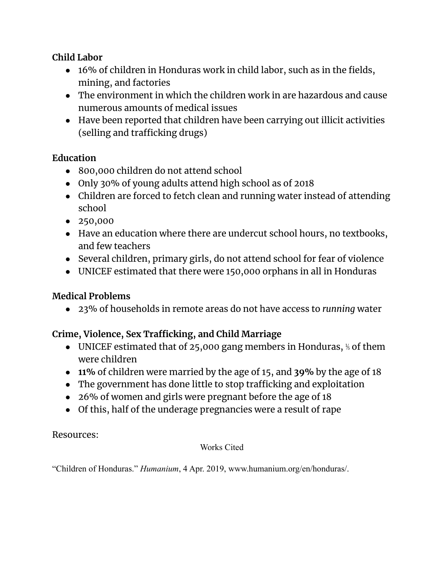## **Child Labor**

- 16% of children in Honduras work in child labor, such as in the fields, mining, and factories
- The environment in which the children work in are hazardous and cause numerous amounts of medical issues
- Have been reported that children have been carrying out illicit activities (selling and trafficking drugs)

## **Education**

- 800,000 children do not attend school
- Only 30% of young adults attend high school as of 2018
- Children are forced to fetch clean and running water instead of attending school
- 250,000
- Have an education where there are undercut school hours, no textbooks, and few teachers
- Several children, primary girls, do not attend school for fear of violence
- UNICEF estimated that there were 150,000 orphans in all in Honduras

# **Medical Problems**

● 23% of households in remote areas do not have access to *running* water

# **Crime, Violence, Sex Trafficking, and Child Marriage**

- UNICEF estimated that of 25,000 gang members in Honduras,  $\frac{1}{2}$  of them were children
- **● 11%** of children were married by the age of 15, and **39%** by the age of 18
- The government has done little to stop trafficking and exploitation
- 26% of women and girls were pregnant before the age of 18
- Of this, half of the underage pregnancies were a result of rape

## Resources:

#### Works Cited

"Children of Honduras." *Humanium*, 4 Apr. 2019, www.humanium.org/en/honduras/.